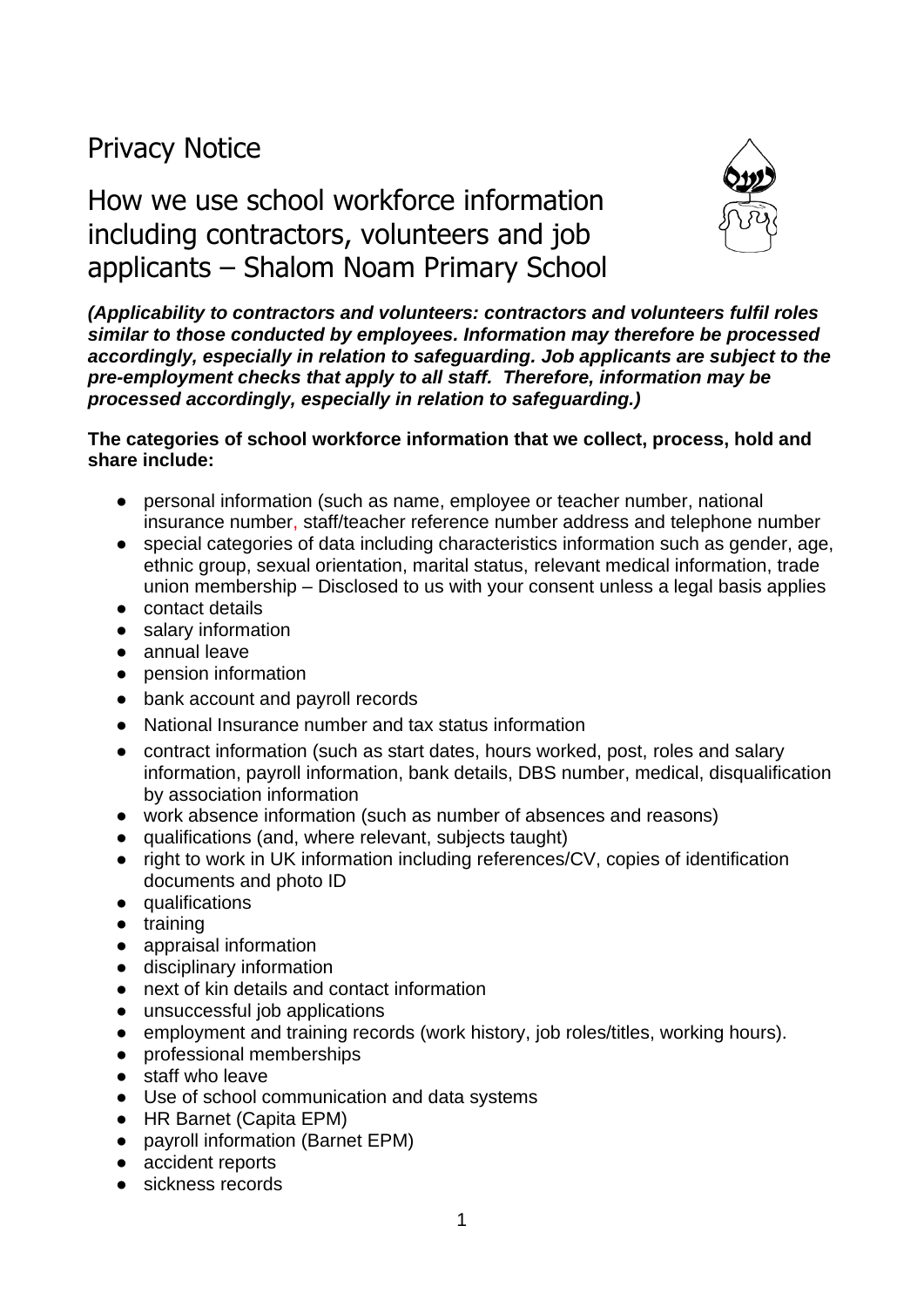# Privacy Notice

# How we use school workforce information including contractors, volunteers and job applicants – Shalom Noam Primary School



*(Applicability to contractors and volunteers: contractors and volunteers fulfil roles similar to those conducted by employees. Information may therefore be processed accordingly, especially in relation to safeguarding. Job applicants are subject to the pre-employment checks that apply to all staff. Therefore, information may be processed accordingly, especially in relation to safeguarding.)*

#### **The categories of school workforce information that we collect, process, hold and share include:**

- personal information (such as name, employee or teacher number, national insurance number, staff/teacher reference number address and telephone number
- special categories of data including characteristics information such as gender, age, ethnic group, sexual orientation, marital status, relevant medical information, trade union membership – Disclosed to us with your consent unless a legal basis applies
- contact details
- salary information
- annual leave
- pension information
- bank account and payroll records
- National Insurance number and tax status information
- contract information (such as start dates, hours worked, post, roles and salary information, payroll information, bank details, DBS number, medical, disqualification by association information
- work absence information (such as number of absences and reasons)
- qualifications (and, where relevant, subjects taught)
- right to work in UK information including references/CV, copies of identification documents and photo ID
- qualifications
- training
- appraisal information
- disciplinary information
- next of kin details and contact information
- unsuccessful job applications
- employment and training records (work history, job roles/titles, working hours).
- professional memberships
- staff who leave
- Use of school communication and data systems
- HR Barnet (Capita EPM)
- payroll information (Barnet EPM)
- accident reports
- sickness records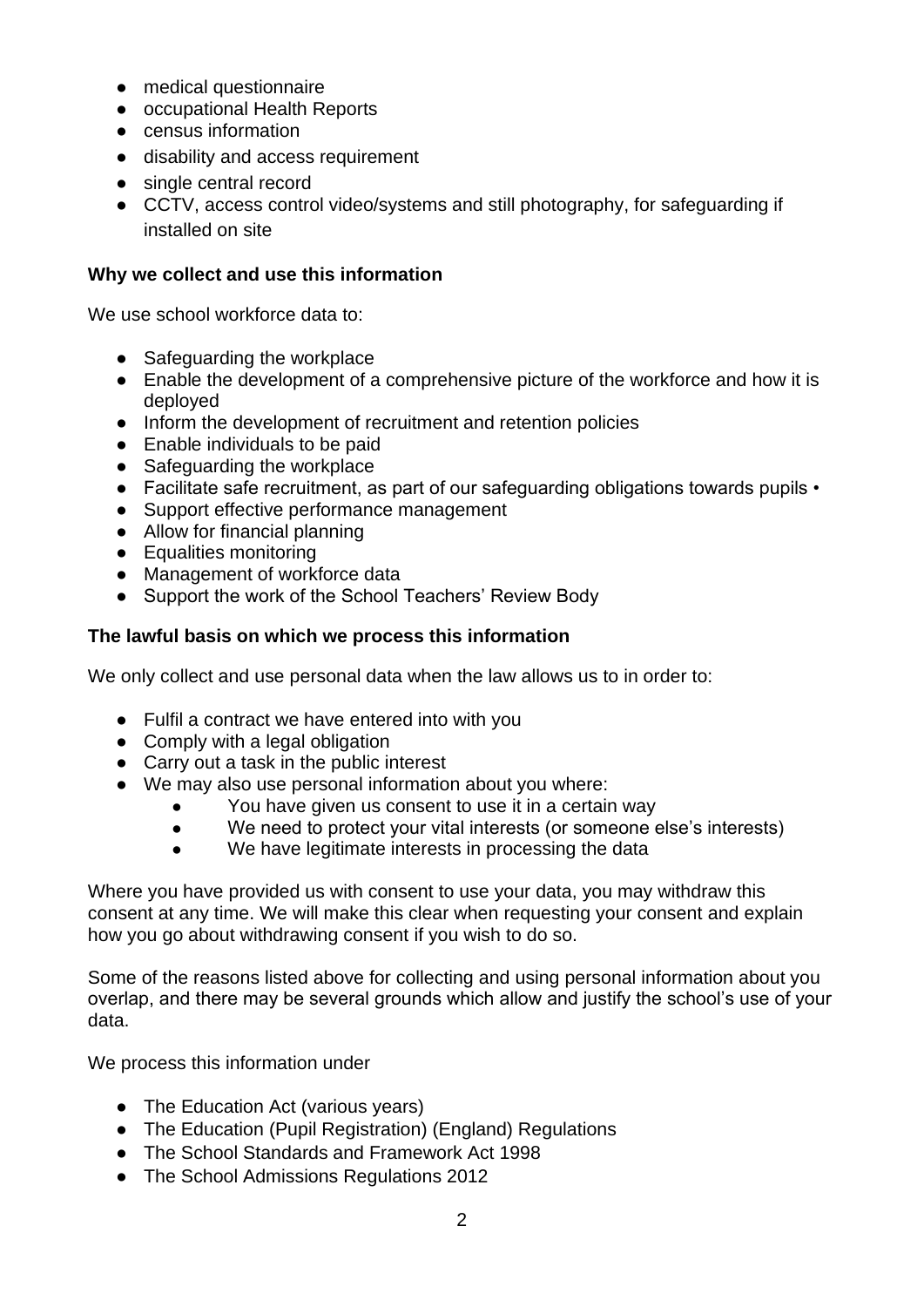- medical questionnaire
- occupational Health Reports
- census information
- disability and access requirement
- single central record
- CCTV, access control video/systems and still photography, for safeguarding if installed on site

#### **Why we collect and use this information**

We use school workforce data to:

- Safeguarding the workplace
- Enable the development of a comprehensive picture of the workforce and how it is deployed
- Inform the development of recruitment and retention policies
- Enable individuals to be paid
- Safeguarding the workplace
- Facilitate safe recruitment, as part of our safeguarding obligations towards pupils •
- Support effective performance management
- Allow for financial planning
- Equalities monitoring
- Management of workforce data
- Support the work of the School Teachers' Review Body

#### **The lawful basis on which we process this information**

We only collect and use personal data when the law allows us to in order to:

- Fulfil a contract we have entered into with you
- Comply with a legal obligation
- Carry out a task in the public interest
- We may also use personal information about you where:
	- You have given us consent to use it in a certain way
	- We need to protect your vital interests (or someone else's interests)
	- We have legitimate interests in processing the data

Where you have provided us with consent to use your data, you may withdraw this consent at any time. We will make this clear when requesting your consent and explain how you go about withdrawing consent if you wish to do so.

Some of the reasons listed above for collecting and using personal information about you overlap, and there may be several grounds which allow and justify the school's use of your data.

We process this information under

- The Education Act (various years)
- The Education (Pupil Registration) (England) Regulations
- The School Standards and Framework Act 1998
- The School Admissions Regulations 2012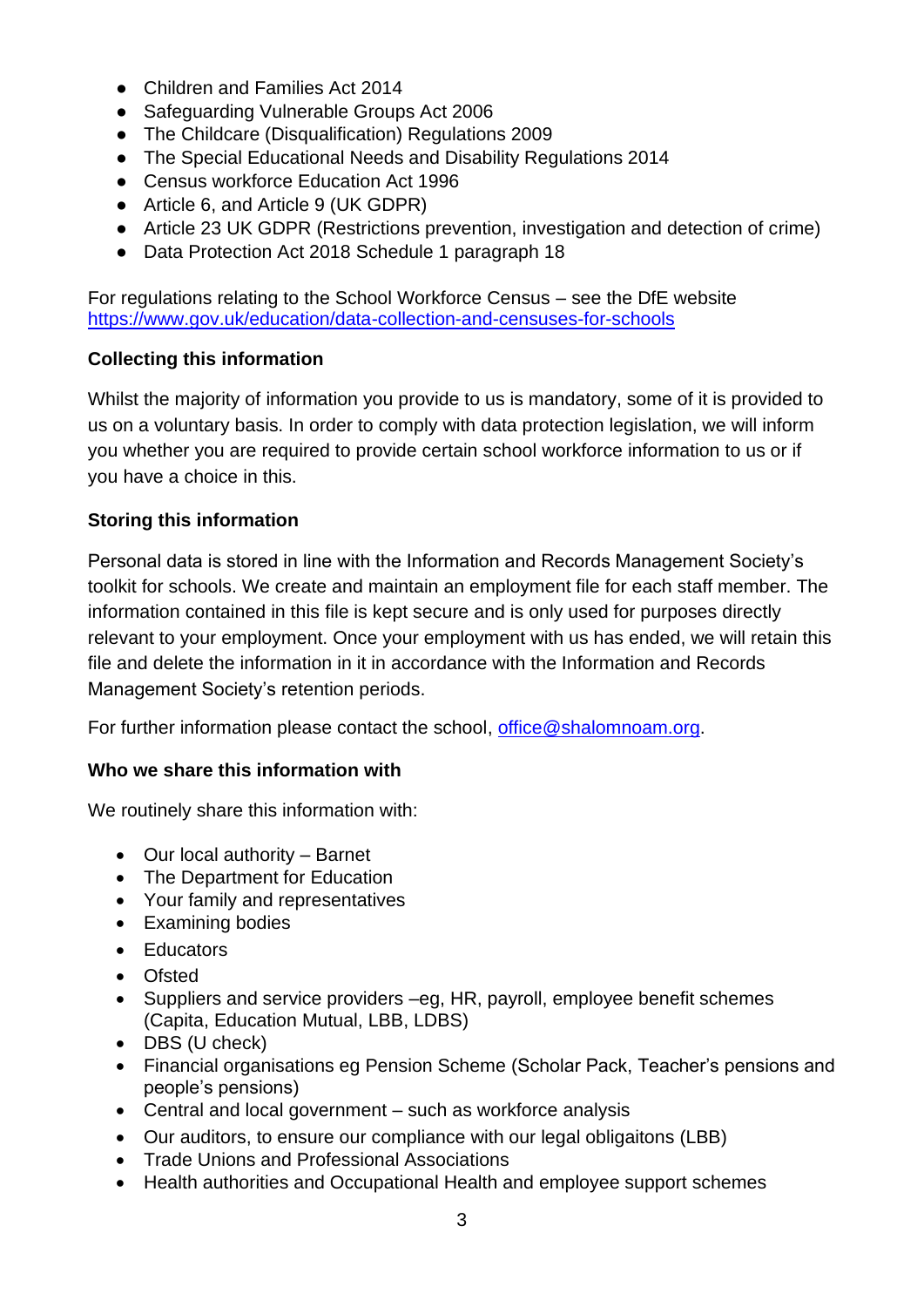- Children and Families Act 2014
- Safeguarding Vulnerable Groups Act 2006
- The Childcare (Disqualification) Regulations 2009
- The Special Educational Needs and Disability Regulations 2014
- Census workforce Education Act 1996
- Article 6, and Article 9 (UK GDPR)
- Article 23 UK GDPR (Restrictions prevention, investigation and detection of crime)
- Data Protection Act 2018 Schedule 1 paragraph 18

For regulations relating to the School Workforce Census – see the DfE website <https://www.gov.uk/education/data-collection-and-censuses-for-schools>

## **Collecting this information**

Whilst the majority of information you provide to us is mandatory, some of it is provided to us on a voluntary basis. In order to comply with data protection legislation, we will inform you whether you are required to provide certain school workforce information to us or if you have a choice in this.

## **Storing this information**

Personal data is stored in line with the Information and Records Management Society's toolkit for schools. We create and maintain an employment file for each staff member. The information contained in this file is kept secure and is only used for purposes directly relevant to your employment. Once your employment with us has ended, we will retain this file and delete the information in it in accordance with the Information and Records Management Society's retention periods.

For further information please contact the school, [office@shalomnoam.org.](mailto:office@shalomnoam.org)

## **Who we share this information with**

We routinely share this information with:

- Our local authority Barnet
- The Department for Education
- Your family and representatives
- Examining bodies
- Educators
- Ofsted
- Suppliers and service providers –eg, HR, payroll, employee benefit schemes (Capita, Education Mutual, LBB, LDBS)
- DBS (U check)
- Financial organisations eg Pension Scheme (Scholar Pack, Teacher's pensions and people's pensions)
- Central and local government such as workforce analysis
- Our auditors, to ensure our compliance with our legal obligaitons (LBB)
- Trade Unions and Professional Associations
- Health authorities and Occupational Health and employee support schemes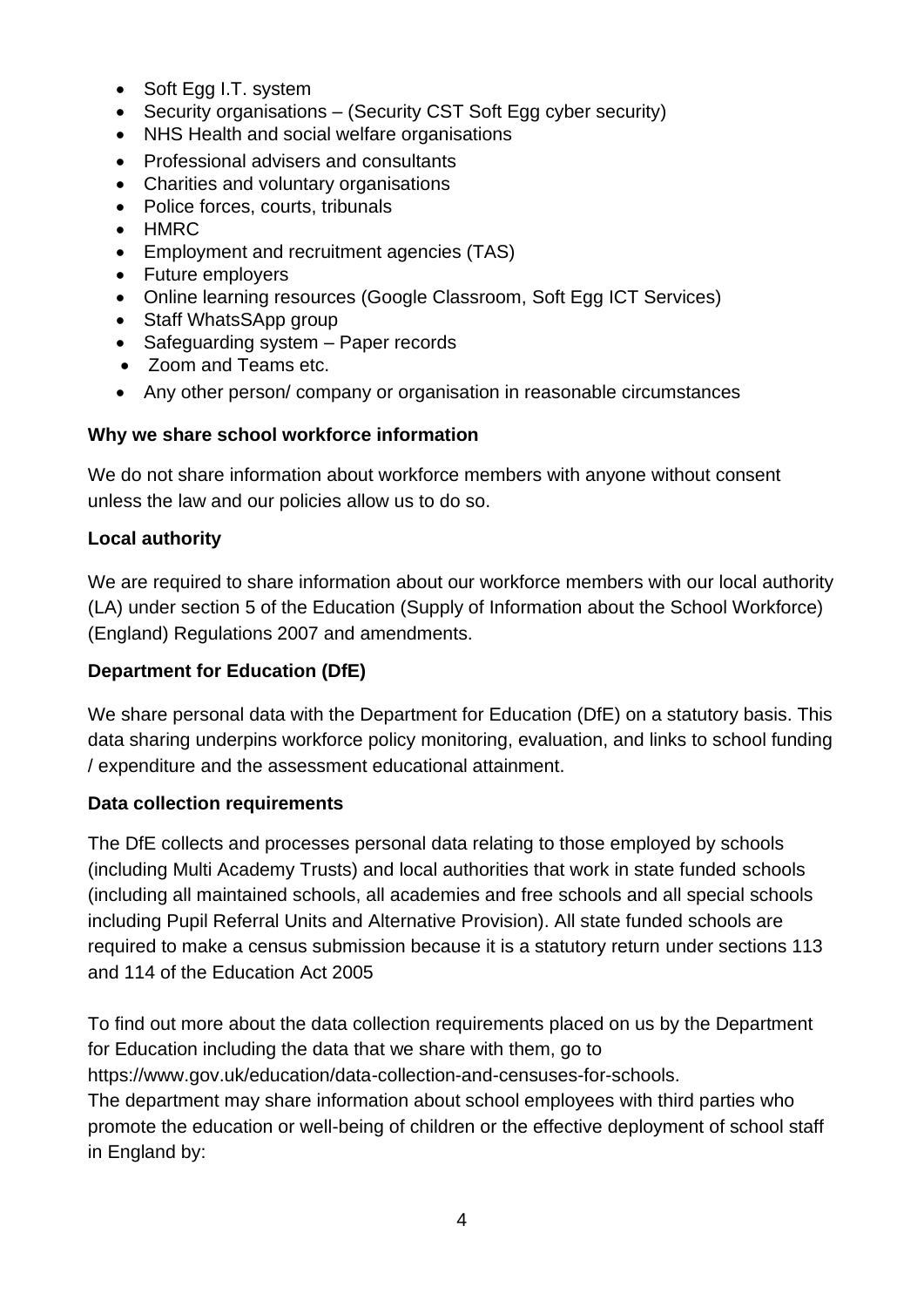- Soft Egg I.T. system
- Security organisations (Security CST Soft Egg cyber security)
- NHS Health and social welfare organisations
- Professional advisers and consultants
- Charities and voluntary organisations
- Police forces, courts, tribunals
- HMRC
- Employment and recruitment agencies (TAS)
- Future employers
- Online learning resources (Google Classroom, Soft Egg ICT Services)
- Staff WhatsSApp group
- Safeguarding system Paper records
- Zoom and Teams etc.
- Any other person/ company or organisation in reasonable circumstances

## **Why we share school workforce information**

We do not share information about workforce members with anyone without consent unless the law and our policies allow us to do so.

## **Local authority**

We are required to share information about our workforce members with our local authority (LA) under section 5 of the Education (Supply of Information about the School Workforce) (England) Regulations 2007 and amendments.

## **Department for Education (DfE)**

We share personal data with the Department for Education (DfE) on a statutory basis. This data sharing underpins workforce policy monitoring, evaluation, and links to school funding / expenditure and the assessment educational attainment.

## **Data collection requirements**

The DfE collects and processes personal data relating to those employed by schools (including Multi Academy Trusts) and local authorities that work in state funded schools (including all maintained schools, all academies and free schools and all special schools including Pupil Referral Units and Alternative Provision). All state funded schools are required to make a census submission because it is a statutory return under sections 113 and 114 of the Education Act 2005

To find out more about the data collection requirements placed on us by the Department for Education including the data that we share with them, go to [https://www.gov.uk/education/data-collection-and-censuses-for-schools.](https://www.gov.uk/education/data-collection-and-censuses-for-schools) The department may share information about school employees with third parties who promote the education or well-being of children or the effective deployment of school staff in England by: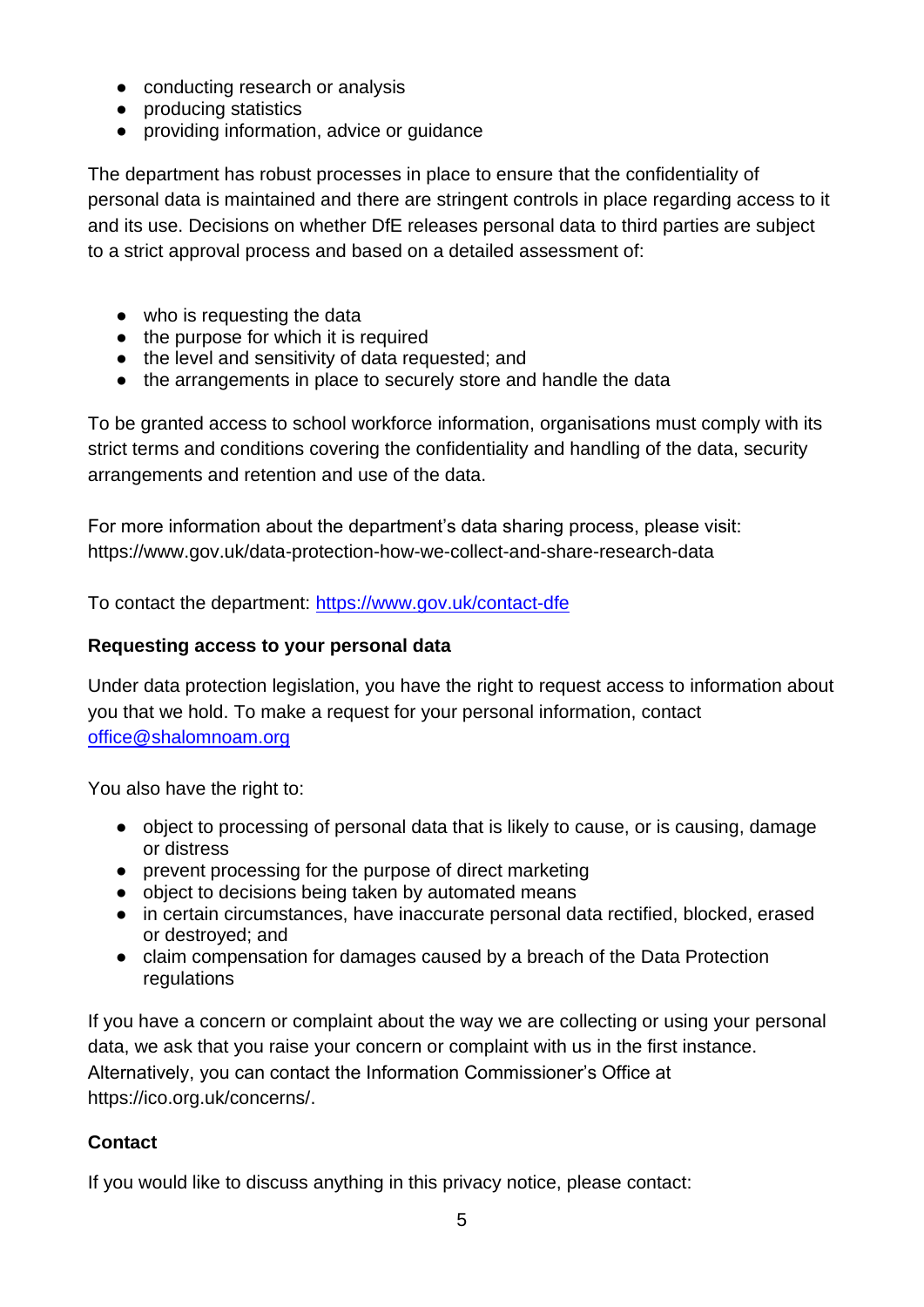- conducting research or analysis
- producing statistics
- providing information, advice or quidance

The department has robust processes in place to ensure that the confidentiality of personal data is maintained and there are stringent controls in place regarding access to it and its use. Decisions on whether DfE releases personal data to third parties are subject to a strict approval process and based on a detailed assessment of:

- who is requesting the data
- the purpose for which it is required
- the level and sensitivity of data requested; and
- the arrangements in place to securely store and handle the data

To be granted access to school workforce information, organisations must comply with its strict terms and conditions covering the confidentiality and handling of the data, security arrangements and retention and use of the data.

For more information about the department's data sharing process, please visit: <https://www.gov.uk/data-protection-how-we-collect-and-share-research-data>

To contact the department:<https://www.gov.uk/contact-dfe>

## **Requesting access to your personal data**

Under data protection legislation, you have the right to request access to information about you that we hold. To make a request for your personal information, contact [office@shalomnoam.org](mailto:office@shalomnoam.org)

You also have the right to:

- object to processing of personal data that is likely to cause, or is causing, damage or distress
- prevent processing for the purpose of direct marketing
- object to decisions being taken by automated means
- in certain circumstances, have inaccurate personal data rectified, blocked, erased or destroyed; and
- claim compensation for damages caused by a breach of the Data Protection regulations

If you have a concern or complaint about the way we are collecting or using your personal data, we ask that you raise your concern or complaint with us in the first instance. Alternatively, you can contact the Information Commissioner's Office at [https://ico.org.uk/concerns/.](https://ico.org.uk/concerns/)

# **Contact**

If you would like to discuss anything in this privacy notice, please contact: